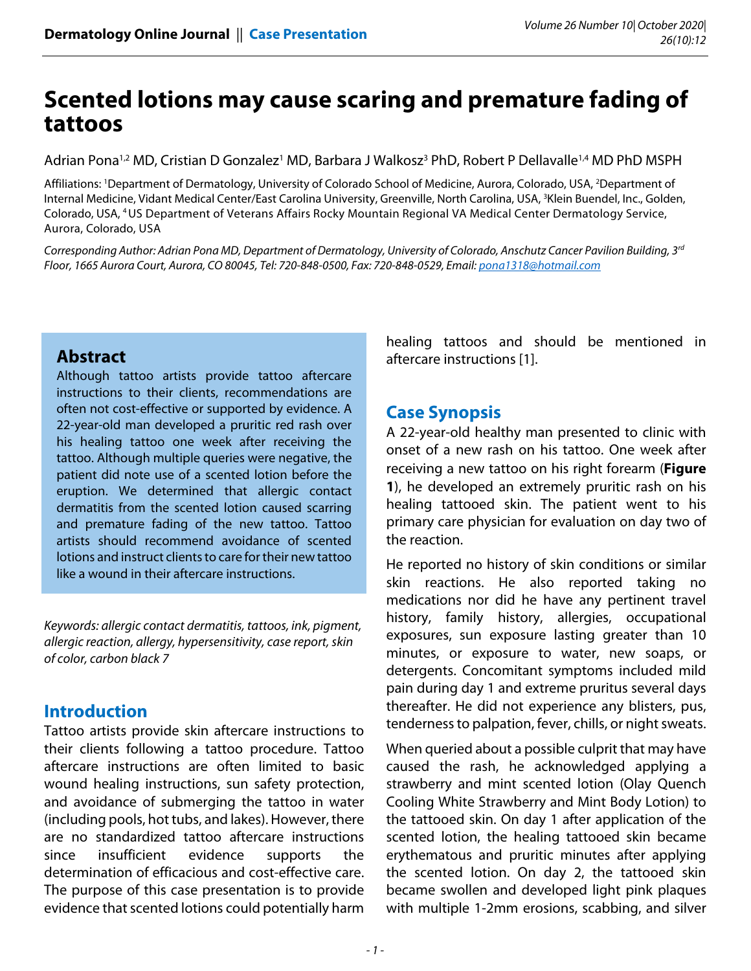# **Scented lotions may cause scaring and premature fading of tattoos**

Adrian Pona<sup>1,2</sup> MD, Cristian D Gonzalez<sup>1</sup> MD, Barbara J Walkosz<sup>3</sup> PhD, Robert P Dellavalle<sup>1,4</sup> MD PhD MSPH

Affiliations: <sup>1</sup>Department of Dermatology, University of Colorado School of Medicine, Aurora, Colorado, USA, <sup>2</sup>Department of Internal Medicine, Vidant Medical Center/East Carolina University, Greenville, North Carolina, USA, <sup>3</sup>Klein Buendel, Inc., Golden, Colorado, USA, 4 US Department of Veterans Affairs Rocky Mountain Regional VA Medical Center Dermatology Service, Aurora, Colorado, USA

Corresponding Author: Adrian Pona MD, Department of Dermatology, University of Colorado, Anschutz Cancer Pavilion Building, 3rd Floor, 1665 Aurora Court, Aurora, CO 80045, Tel: 720-848-0500, Fax: 720-848-0529, Email: pona1318@hotmail.com

## **Abstract**

Although tattoo artists provide tattoo aftercare instructions to their clients, recommendations are often not cost-effective or supported by evidence. A 22-year-old man developed a pruritic red rash over his healing tattoo one week after receiving the tattoo. Although multiple queries were negative, the patient did note use of a scented lotion before the eruption. We determined that allergic contact dermatitis from the scented lotion caused scarring and premature fading of the new tattoo. Tattoo artists should recommend avoidance of scented lotions and instruct clients to care for their new tattoo like a wound in their aftercare instructions.

Keywords: allergic contact dermatitis, tattoos, ink, pigment, allergic reaction, allergy, hypersensitivity, case report, skin of color, carbon black 7

## **Introduction**

Tattoo artists provide skin aftercare instructions to their clients following a tattoo procedure. Tattoo aftercare instructions are often limited to basic wound healing instructions, sun safety protection, and avoidance of submerging the tattoo in water (including pools, hot tubs, and lakes). However, there are no standardized tattoo aftercare instructions since insufficient evidence supports the determination of efficacious and cost-effective care. The purpose of this case presentation is to provide evidence that scented lotions could potentially harm

healing tattoos and should be mentioned in aftercare instructions [1].

## **Case Synopsis**

A 22-year-old healthy man presented to clinic with onset of a new rash on his tattoo. One week after receiving a new tattoo on his right forearm (**Figure 1**), he developed an extremely pruritic rash on his healing tattooed skin. The patient went to his primary care physician for evaluation on day two of the reaction.

He reported no history of skin conditions or similar skin reactions. He also reported taking no medications nor did he have any pertinent travel history, family history, allergies, occupational exposures, sun exposure lasting greater than 10 minutes, or exposure to water, new soaps, or detergents. Concomitant symptoms included mild pain during day 1 and extreme pruritus several days thereafter. He did not experience any blisters, pus, tenderness to palpation, fever, chills, or night sweats.

When queried about a possible culprit that may have caused the rash, he acknowledged applying a strawberry and mint scented lotion (Olay Quench Cooling White Strawberry and Mint Body Lotion) to the tattooed skin. On day 1 after application of the scented lotion, the healing tattooed skin became erythematous and pruritic minutes after applying the scented lotion. On day 2, the tattooed skin became swollen and developed light pink plaques with multiple 1-2mm erosions, scabbing, and silver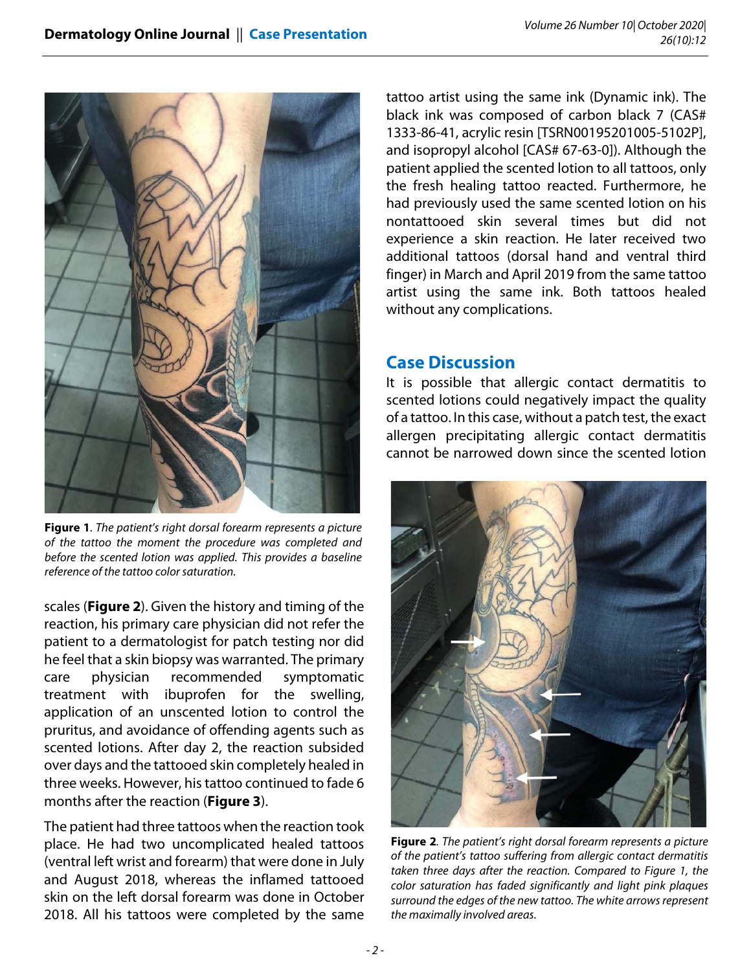

**Figure 1**. The patient's right dorsal forearm represents a picture of the tattoo the moment the procedure was completed and before the scented lotion was applied. This provides a baseline reference of the tattoo color saturation.

scales (**Figure 2**). Given the history and timing of the reaction, his primary care physician did not refer the patient to a dermatologist for patch testing nor did he feel that a skin biopsy was warranted. The primary care physician recommended symptomatic treatment with ibuprofen for the swelling, application of an unscented lotion to control the pruritus, and avoidance of offending agents such as scented lotions. After day 2, the reaction subsided over days and the tattooed skin completely healed in three weeks. However, his tattoo continued to fade 6 months after the reaction (**Figure 3**).

The patient had three tattoos when the reaction took place. He had two uncomplicated healed tattoos (ventral left wrist and forearm) that were done in July and August 2018, whereas the inflamed tattooed skin on the left dorsal forearm was done in October 2018. All his tattoos were completed by the same

tattoo artist using the same ink (Dynamic ink). The black ink was composed of carbon black 7 (CAS# 1333-86-41, acrylic resin [TSRN00195201005-5102P], and isopropyl alcohol [CAS# 67-63-0]). Although the patient applied the scented lotion to all tattoos, only the fresh healing tattoo reacted. Furthermore, he had previously used the same scented lotion on his nontattooed skin several times but did not experience a skin reaction. He later received two additional tattoos (dorsal hand and ventral third finger) in March and April 2019 from the same tattoo artist using the same ink. Both tattoos healed without any complications.

## **Case Discussion**

It is possible that allergic contact dermatitis to scented lotions could negatively impact the quality of a tattoo. In this case, without a patch test, the exact allergen precipitating allergic contact dermatitis cannot be narrowed down since the scented lotion



**Figure 2**. The patient's right dorsal forearm represents a picture of the patient's tattoo suffering from allergic contact dermatitis taken three days after the reaction. Compared to Figure 1, the color saturation has faded significantly and light pink plaques surround the edges of the new tattoo. The white arrows represent the maximally involved areas.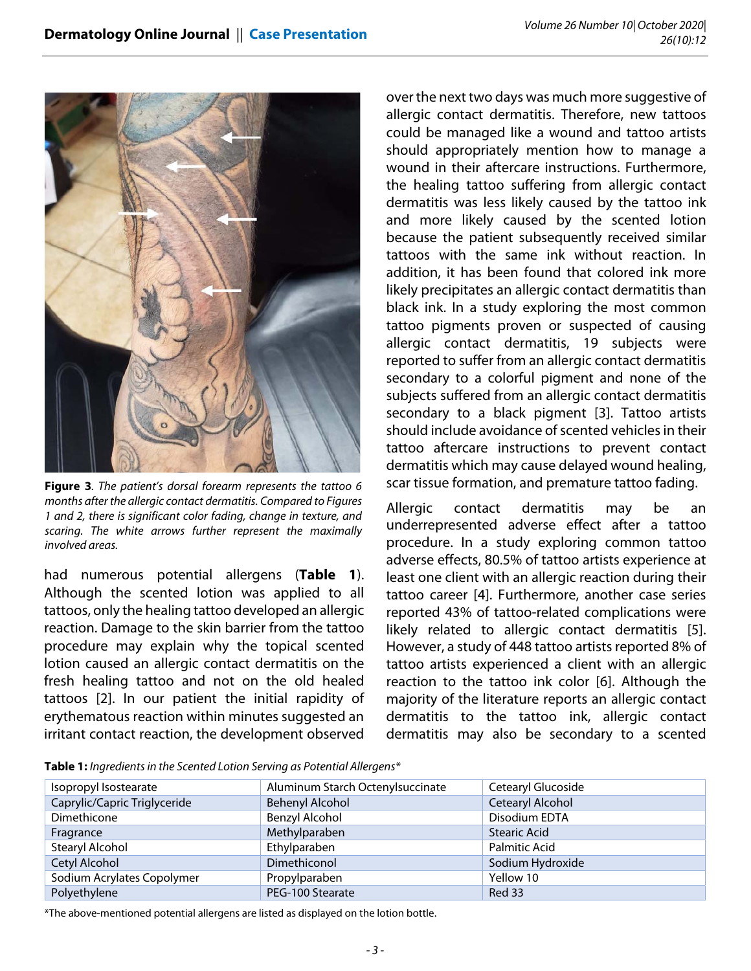

**Figure 3**. The patient's dorsal forearm represents the tattoo 6 months after the allergic contact dermatitis. Compared to Figures 1 and 2, there is significant color fading, change in texture, and scaring. The white arrows further represent the maximally involved areas.

had numerous potential allergens (**Table 1**). Although the scented lotion was applied to all tattoos, only the healing tattoo developed an allergic reaction. Damage to the skin barrier from the tattoo procedure may explain why the topical scented lotion caused an allergic contact dermatitis on the fresh healing tattoo and not on the old healed tattoos [2]. In our patient the initial rapidity of erythematous reaction within minutes suggested an irritant contact reaction, the development observed over the next two days was much more suggestive of allergic contact dermatitis. Therefore, new tattoos could be managed like a wound and tattoo artists should appropriately mention how to manage a wound in their aftercare instructions. Furthermore, the healing tattoo suffering from allergic contact dermatitis was less likely caused by the tattoo ink and more likely caused by the scented lotion because the patient subsequently received similar tattoos with the same ink without reaction. In addition, it has been found that colored ink more likely precipitates an allergic contact dermatitis than black ink. In a study exploring the most common tattoo pigments proven or suspected of causing allergic contact dermatitis, 19 subjects were reported to suffer from an allergic contact dermatitis secondary to a colorful pigment and none of the subjects suffered from an allergic contact dermatitis secondary to a black pigment [3]. Tattoo artists should include avoidance of scented vehicles in their tattoo aftercare instructions to prevent contact dermatitis which may cause delayed wound healing, scar tissue formation, and premature tattoo fading.

Allergic contact dermatitis may be an underrepresented adverse effect after a tattoo procedure. In a study exploring common tattoo adverse effects, 80.5% of tattoo artists experience at least one client with an allergic reaction during their tattoo career [4]. Furthermore, another case series reported 43% of tattoo-related complications were likely related to allergic contact dermatitis [5]. However, a study of 448 tattoo artists reported 8% of tattoo artists experienced a client with an allergic reaction to the tattoo ink color [6]. Although the majority of the literature reports an allergic contact dermatitis to the tattoo ink, allergic contact dermatitis may also be secondary to a scented

**Table 1:** Ingredients in the Scented Lotion Serving as Potential Allergens\*

| Isopropyl Isostearate        | Aluminum Starch Octenylsuccinate | Cetearyl Glucoside   |
|------------------------------|----------------------------------|----------------------|
| Caprylic/Capric Triglyceride | Behenyl Alcohol                  | Cetearyl Alcohol     |
| Dimethicone                  | Benzyl Alcohol                   | Disodium EDTA        |
| Fragrance                    | Methylparaben                    | <b>Stearic Acid</b>  |
| Stearyl Alcohol              | Ethylparaben                     | <b>Palmitic Acid</b> |
| Cetyl Alcohol                | Dimethiconol                     | Sodium Hydroxide     |
| Sodium Acrylates Copolymer   | Propylparaben                    | Yellow 10            |
| Polyethylene                 | PEG-100 Stearate                 | <b>Red 33</b>        |

\*The above-mentioned potential allergens are listed as displayed on the lotion bottle.